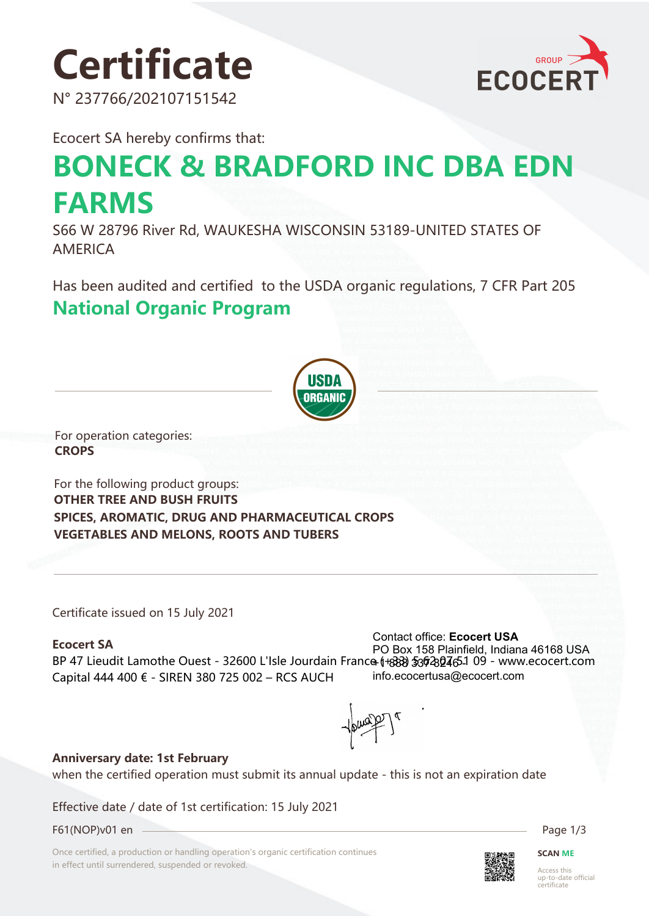# **Certificate**

N° 237766/202107151542



Ecocert SA hereby confirms that:

## **BONECK & BRADFORD INC DBA EDN FARMS**

S66 W 28796 River Rd, WAUKESHA WISCONSIN 53189-UNITED STATES OF AMERICA

Has been audited and certified to the USDA organic regulations, 7 CFR Part 205 **National Organic Program** 



For operation categories: **CROPS**

For the following product groups: **OTHER TREE AND BUSH FRUITS SPICES, AROMATIC, DRUG AND PHARMACEUTICAL CROPS VEGETABLES AND MELONS, ROOTS AND TUBERS**

Certificate issued on 15 July 2021

#### **Ecocert SA**

BP 47 Lieudit Lamothe Ouest - 32600 L'Isle Jourdain France (+888) \$36204651 09 - www.ecocert.com Capital 444 400 € - SIREN 380 725 002 – RCS AUCH Contact office: **Ecocert USA** PO Box 158 Plainfield, Indiana 46168 USA info.ecocertusa@ecocert.com

#### **Anniversary date: 1st February**

when the certified operation must submit its annual update - this is not an expiration date

Effective date / date of 1st certification: 15 July 2021

F61(NOP)v01 en Page 1/3

Once certified, a production or handling operation's organic certification continues in effect until surrendered, suspended or revoked.



**SCAN ME**

Access this up-to-date official certificate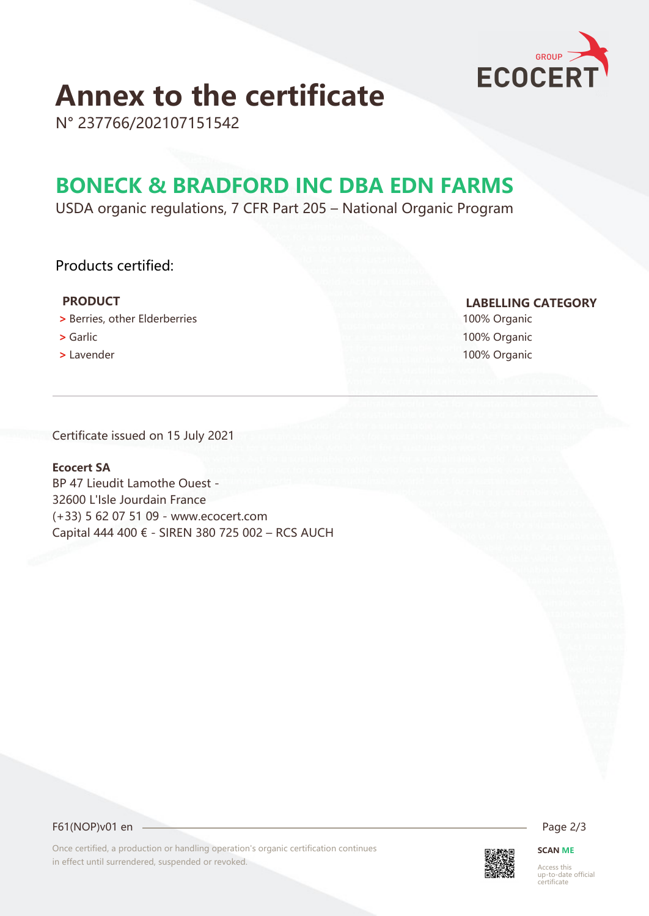

### **Annex to the certificate**

N° 237766/202107151542

### **BONECK & BRADFORD INC DBA EDN FARMS**

USDA organic regulations, 7 CFR Part 205 – National Organic Program

#### Products certified:

- **>** Berries, other Elderberries 100% Organic
- 
- 

 **PRODUCT LABELLING CATEGORY**

 **>** Garlic 100% Organic  **>** Lavender 100% Organic

Certificate issued on 15 July 2021

#### **Ecocert SA**

BP 47 Lieudit Lamothe Ouest - 32600 L'Isle Jourdain France (+33) 5 62 07 51 09 - www.ecocert.com Capital 444 400 € - SIREN 380 725 002 – RCS AUCH

F61(NOP)v01 en 2/3

Once certified, a production or handling operation's organic certification continues in effect until surrendered, suspended or revoked.



**SCAN ME**

Access this up-to-date official certificate